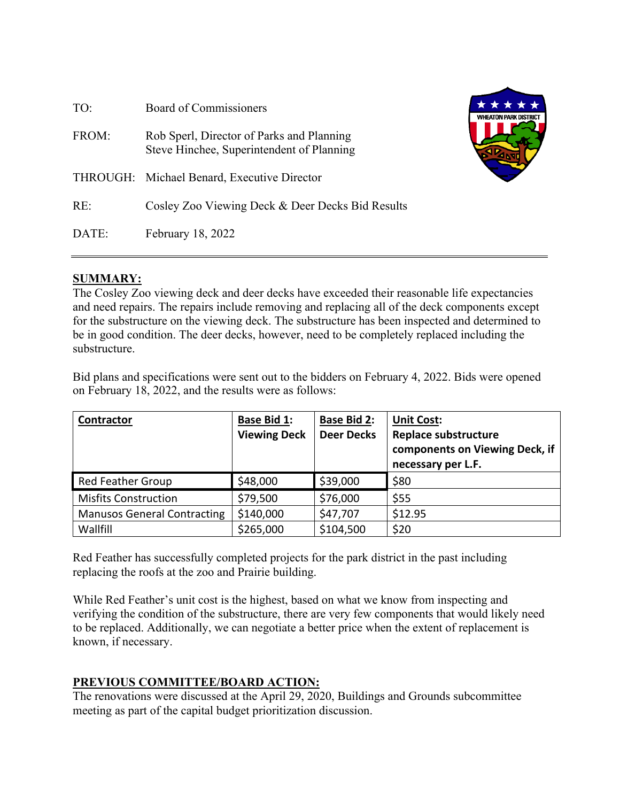| TO:   | Board of Commissioners                                                                 | <b>WHEATON PARK DISTRICT</b> |
|-------|----------------------------------------------------------------------------------------|------------------------------|
| FROM: | Rob Sperl, Director of Parks and Planning<br>Steve Hinchee, Superintendent of Planning |                              |
|       | THROUGH: Michael Benard, Executive Director                                            |                              |
| RE:   | Cosley Zoo Viewing Deck & Deer Decks Bid Results                                       |                              |
| DATE: | February 18, 2022                                                                      |                              |

#### **SUMMARY:**

The Cosley Zoo viewing deck and deer decks have exceeded their reasonable life expectancies and need repairs. The repairs include removing and replacing all of the deck components except for the substructure on the viewing deck. The substructure has been inspected and determined to be in good condition. The deer decks, however, need to be completely replaced including the substructure.

Bid plans and specifications were sent out to the bidders on February 4, 2022. Bids were opened on February 18, 2022, and the results were as follows:

| <b>Contractor</b>                  | <b>Base Bid 1:</b><br><b>Viewing Deck</b> | <b>Base Bid 2:</b><br><b>Deer Decks</b> | <b>Unit Cost:</b><br><b>Replace substructure</b><br>components on Viewing Deck, if<br>necessary per L.F. |
|------------------------------------|-------------------------------------------|-----------------------------------------|----------------------------------------------------------------------------------------------------------|
| Red Feather Group                  | \$48,000                                  | \$39,000                                | \$80                                                                                                     |
| <b>Misfits Construction</b>        | \$79,500                                  | \$76,000                                | \$55                                                                                                     |
| <b>Manusos General Contracting</b> | \$140,000                                 | \$47,707                                | \$12.95                                                                                                  |
| Wallfill                           | \$265,000                                 | \$104,500                               | \$20                                                                                                     |

Red Feather has successfully completed projects for the park district in the past including replacing the roofs at the zoo and Prairie building.

While Red Feather's unit cost is the highest, based on what we know from inspecting and verifying the condition of the substructure, there are very few components that would likely need to be replaced. Additionally, we can negotiate a better price when the extent of replacement is known, if necessary.

#### **PREVIOUS COMMITTEE/BOARD ACTION:**

The renovations were discussed at the April 29, 2020, Buildings and Grounds subcommittee meeting as part of the capital budget prioritization discussion.